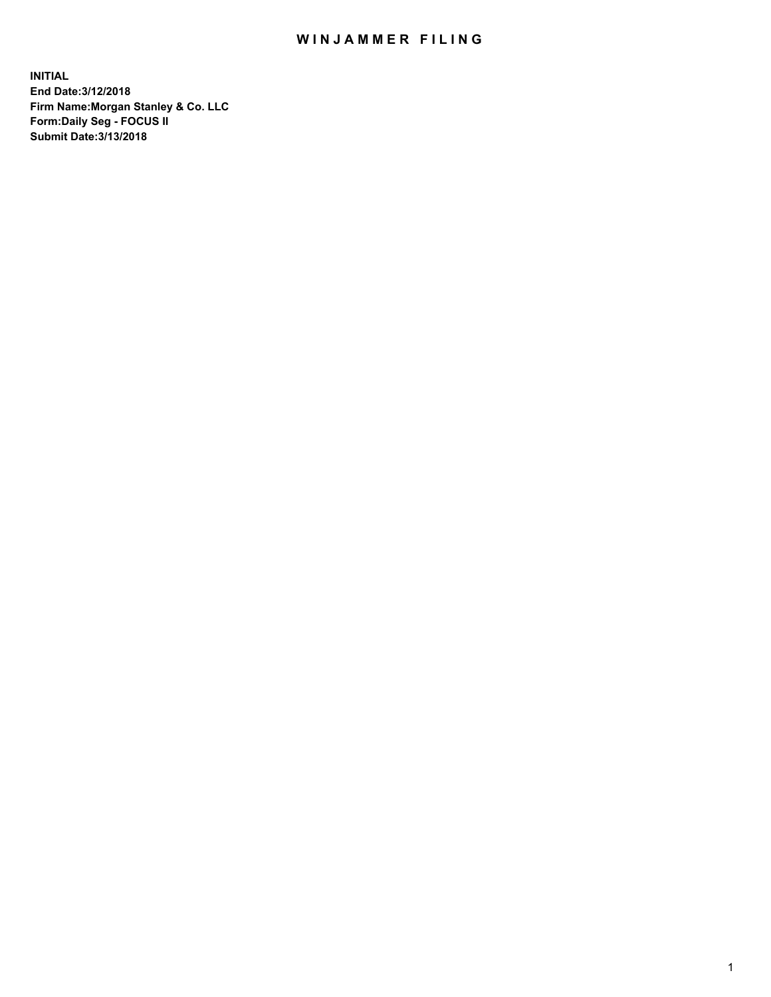## WIN JAMMER FILING

**INITIAL End Date:3/12/2018 Firm Name:Morgan Stanley & Co. LLC Form:Daily Seg - FOCUS II Submit Date:3/13/2018**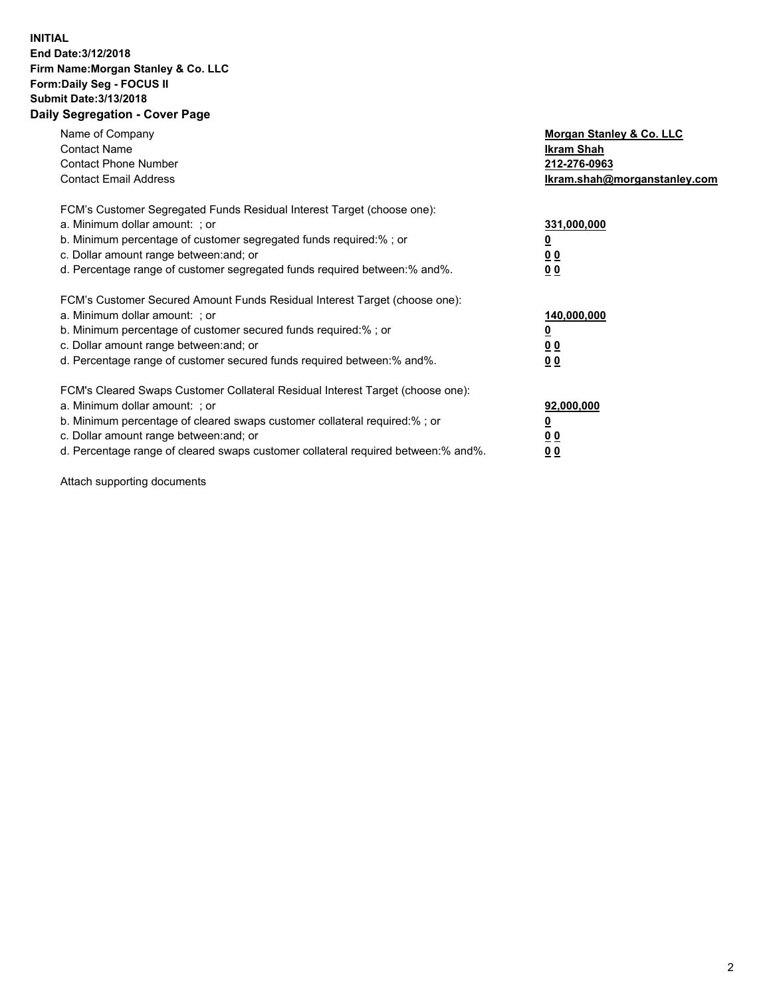## **INITIAL End Date:3/12/2018 Firm Name:Morgan Stanley & Co. LLC Form:Daily Seg - FOCUS II Submit Date:3/13/2018 Daily Segregation - Cover Page**

| Name of Company<br><b>Contact Name</b><br><b>Contact Phone Number</b><br><b>Contact Email Address</b>                                                                                                                                                                                                                          | Morgan Stanley & Co. LLC<br>Ikram Shah<br>212-276-0963<br>lkram.shah@morganstanley.com |
|--------------------------------------------------------------------------------------------------------------------------------------------------------------------------------------------------------------------------------------------------------------------------------------------------------------------------------|----------------------------------------------------------------------------------------|
| FCM's Customer Segregated Funds Residual Interest Target (choose one):<br>a. Minimum dollar amount: ; or<br>b. Minimum percentage of customer segregated funds required:%; or<br>c. Dollar amount range between: and; or<br>d. Percentage range of customer segregated funds required between: % and %.                        | 331,000,000<br>0 <sub>0</sub><br>00                                                    |
| FCM's Customer Secured Amount Funds Residual Interest Target (choose one):<br>a. Minimum dollar amount: ; or<br>b. Minimum percentage of customer secured funds required:%; or<br>c. Dollar amount range between: and; or<br>d. Percentage range of customer secured funds required between:% and%.                            | 140,000,000<br>0 <sub>0</sub><br>0 <sub>0</sub>                                        |
| FCM's Cleared Swaps Customer Collateral Residual Interest Target (choose one):<br>a. Minimum dollar amount: ; or<br>b. Minimum percentage of cleared swaps customer collateral required:% ; or<br>c. Dollar amount range between: and; or<br>d. Percentage range of cleared swaps customer collateral required between:% and%. | 92,000,000<br>0 <sub>0</sub><br>0 <sub>0</sub>                                         |

Attach supporting documents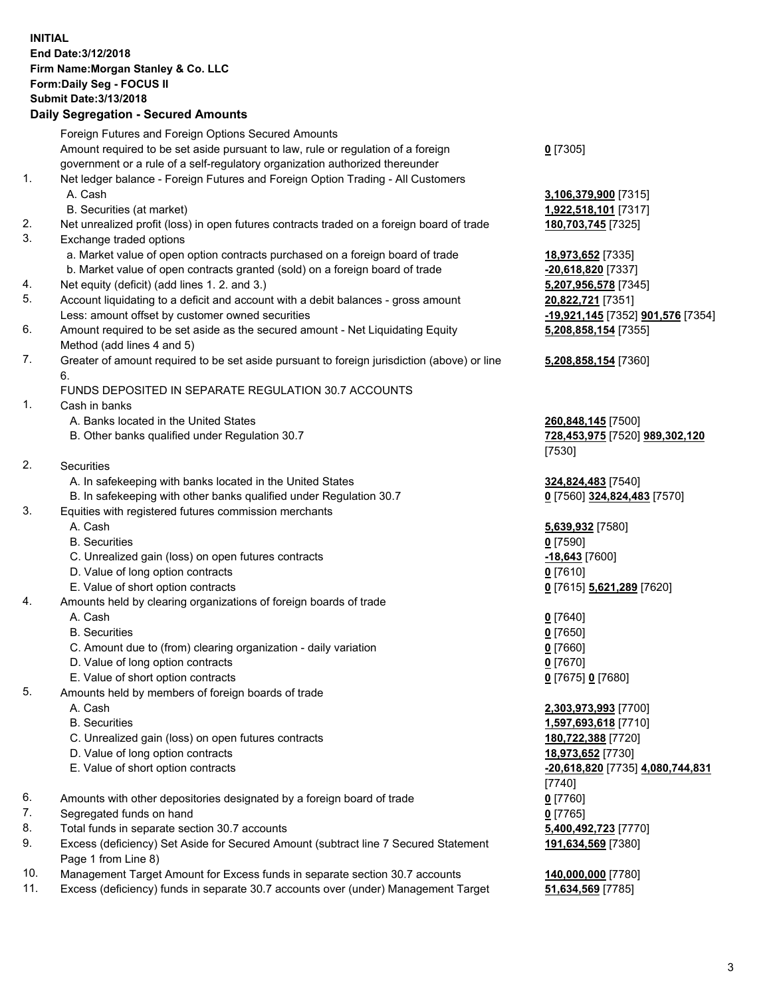## **INITIAL End Date:3/12/2018 Firm Name:Morgan Stanley & Co. LLC Form:Daily Seg - FOCUS II Submit Date:3/13/2018 Daily Segregation - Secured Amounts**

Foreign Futures and Foreign Options Secured Amounts Amount required to be set aside pursuant to law, rule or regulation of a foreign government or a rule of a self-regulatory organization authorized thereunder **0** [7305] 1. Net ledger balance - Foreign Futures and Foreign Option Trading - All Customers A. Cash **3,106,379,900** [7315] B. Securities (at market) **1,922,518,101** [7317] 2. Net unrealized profit (loss) in open futures contracts traded on a foreign board of trade **180,703,745** [7325] 3. Exchange traded options a. Market value of open option contracts purchased on a foreign board of trade **18,973,652** [7335] b. Market value of open contracts granted (sold) on a foreign board of trade **-20,618,820** [7337] 4. Net equity (deficit) (add lines 1. 2. and 3.) **5,207,956,578** [7345] 5. Account liquidating to a deficit and account with a debit balances - gross amount **20,822,721** [7351] Less: amount offset by customer owned securities **-19,921,145** [7352] **901,576** [7354] 6. Amount required to be set aside as the secured amount - Net Liquidating Equity Method (add lines 4 and 5) **5,208,858,154** [7355] 7. Greater of amount required to be set aside pursuant to foreign jurisdiction (above) or line 6. **5,208,858,154** [7360] FUNDS DEPOSITED IN SEPARATE REGULATION 30.7 ACCOUNTS 1. Cash in banks A. Banks located in the United States **260,848,145** [7500] B. Other banks qualified under Regulation 30.7 **728,453,975** [7520] **989,302,120** [7530] 2. Securities A. In safekeeping with banks located in the United States **324,824,483** [7540] B. In safekeeping with other banks qualified under Regulation 30.7 **0** [7560] **324,824,483** [7570] 3. Equities with registered futures commission merchants A. Cash **5,639,932** [7580] B. Securities **0** [7590] C. Unrealized gain (loss) on open futures contracts **-18,643** [7600] D. Value of long option contracts **0** [7610] E. Value of short option contracts **0** [7615] **5,621,289** [7620] 4. Amounts held by clearing organizations of foreign boards of trade A. Cash **0** [7640] B. Securities **0** [7650] C. Amount due to (from) clearing organization - daily variation **0** [7660] D. Value of long option contracts **0** [7670] E. Value of short option contracts **0** [7675] **0** [7680] 5. Amounts held by members of foreign boards of trade A. Cash **2,303,973,993** [7700] B. Securities **1,597,693,618** [7710] C. Unrealized gain (loss) on open futures contracts **180,722,388** [7720] D. Value of long option contracts **18,973,652** [7730] E. Value of short option contracts **-20,618,820** [7735] **4,080,744,831** [7740] 6. Amounts with other depositories designated by a foreign board of trade **0** [7760] 7. Segregated funds on hand **0** [7765] 8. Total funds in separate section 30.7 accounts **5,400,492,723** [7770] 9. Excess (deficiency) Set Aside for Secured Amount (subtract line 7 Secured Statement Page 1 from Line 8) **191,634,569** [7380] 10. Management Target Amount for Excess funds in separate section 30.7 accounts **140,000,000** [7780]

11. Excess (deficiency) funds in separate 30.7 accounts over (under) Management Target **51,634,569** [7785]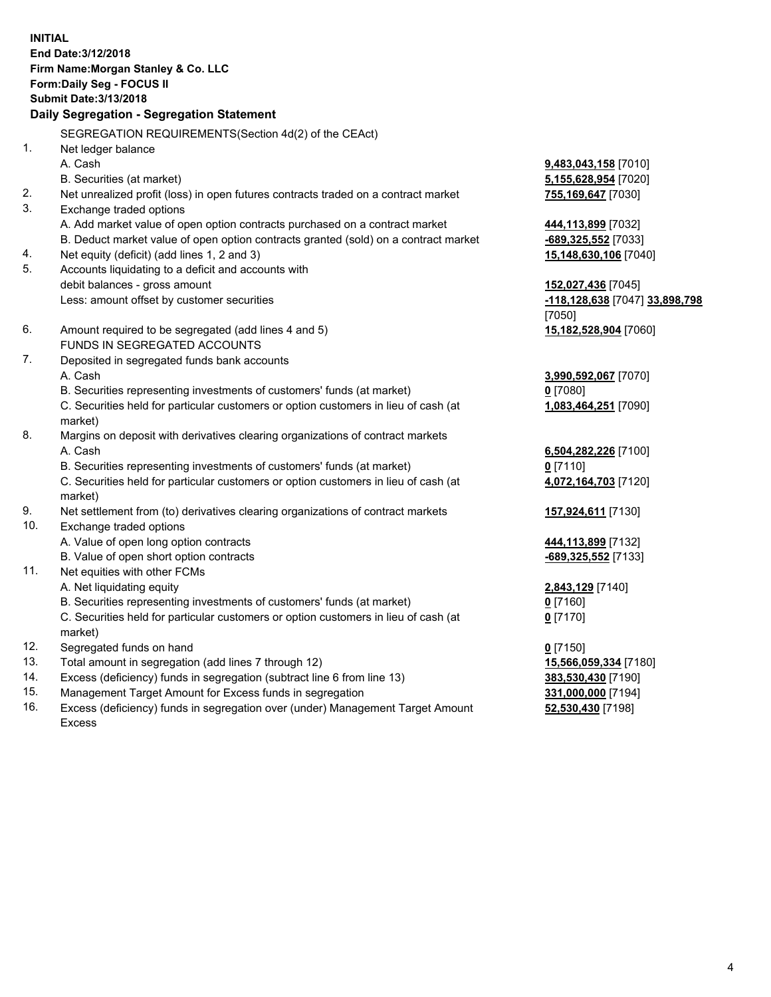**INITIAL End Date:3/12/2018 Firm Name:Morgan Stanley & Co. LLC Form:Daily Seg - FOCUS II Submit Date:3/13/2018 Daily Segregation - Segregation Statement** SEGREGATION REQUIREMENTS(Section 4d(2) of the CEAct) 1. Net ledger balance A. Cash **9,483,043,158** [7010] B. Securities (at market) **5,155,628,954** [7020] 2. Net unrealized profit (loss) in open futures contracts traded on a contract market **755,169,647** [7030] 3. Exchange traded options A. Add market value of open option contracts purchased on a contract market **444,113,899** [7032] B. Deduct market value of open option contracts granted (sold) on a contract market **-689,325,552** [7033] 4. Net equity (deficit) (add lines 1, 2 and 3) **15,148,630,106** [7040] 5. Accounts liquidating to a deficit and accounts with debit balances - gross amount **152,027,436** [7045] Less: amount offset by customer securities **-118,128,638** [7047] **33,898,798** [7050] 6. Amount required to be segregated (add lines 4 and 5) **15,182,528,904** [7060] FUNDS IN SEGREGATED ACCOUNTS 7. Deposited in segregated funds bank accounts A. Cash **3,990,592,067** [7070] B. Securities representing investments of customers' funds (at market) **0** [7080] C. Securities held for particular customers or option customers in lieu of cash (at market) **1,083,464,251** [7090] 8. Margins on deposit with derivatives clearing organizations of contract markets A. Cash **6,504,282,226** [7100] B. Securities representing investments of customers' funds (at market) **0** [7110] C. Securities held for particular customers or option customers in lieu of cash (at market) **4,072,164,703** [7120] 9. Net settlement from (to) derivatives clearing organizations of contract markets **157,924,611** [7130] 10. Exchange traded options A. Value of open long option contracts **444,113,899** [7132] B. Value of open short option contracts **-689,325,552** [7133] 11. Net equities with other FCMs A. Net liquidating equity **2,843,129** [7140] B. Securities representing investments of customers' funds (at market) **0** [7160] C. Securities held for particular customers or option customers in lieu of cash (at market) **0** [7170] 12. Segregated funds on hand **0** [7150] 13. Total amount in segregation (add lines 7 through 12) **15,566,059,334** [7180] 14. Excess (deficiency) funds in segregation (subtract line 6 from line 13) **383,530,430** [7190]

- 15. Management Target Amount for Excess funds in segregation **331,000,000** [7194]
- 16. Excess (deficiency) funds in segregation over (under) Management Target Amount Excess

**52,530,430** [7198]